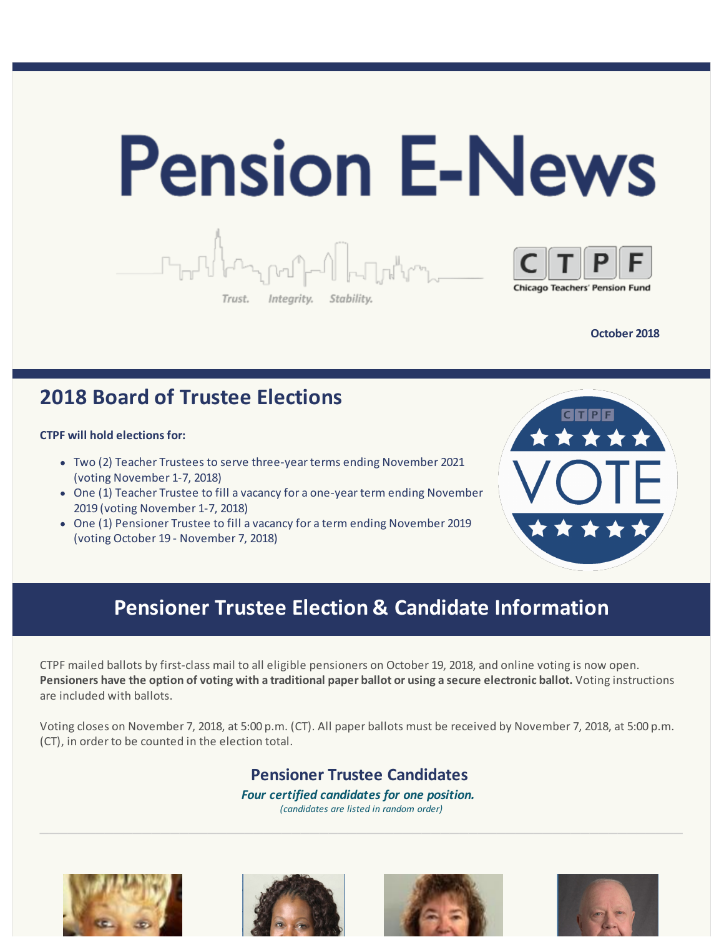

**October 2018**

# **2018 Board of Trustee Elections**

#### **CTPF will hold elections for:**

- Two (2) Teacher Trustees to serve three-year terms ending November 2021 (voting November 1-7, 2018)
- One (1) Teacher Trustee to fill a vacancy for a one-year term ending November 2019 (voting November 1-7, 2018)
- One (1) Pensioner Trustee to fill a vacancy for a term ending November 2019 (voting October 19 - November 7, 2018)



# **Pensioner Trustee Election & Candidate Information**

CTPF mailed ballots by first-class mail to all eligible pensioners on October 19, 2018, and online voting is now open. Pensioners have the option of voting with a traditional paper ballot or using a secure electronic ballot. Voting instructions are included with ballots.

Voting closes on November 7, 2018, at 5:00 p.m. (CT). All paper ballots must be received by November 7, 2018, at 5:00 p.m. (CT), in order to be counted in the election total.

## **Pensioner Trustee Candidates**

*Four certified candidates for one position.*

*(candidates are listed in random order)*







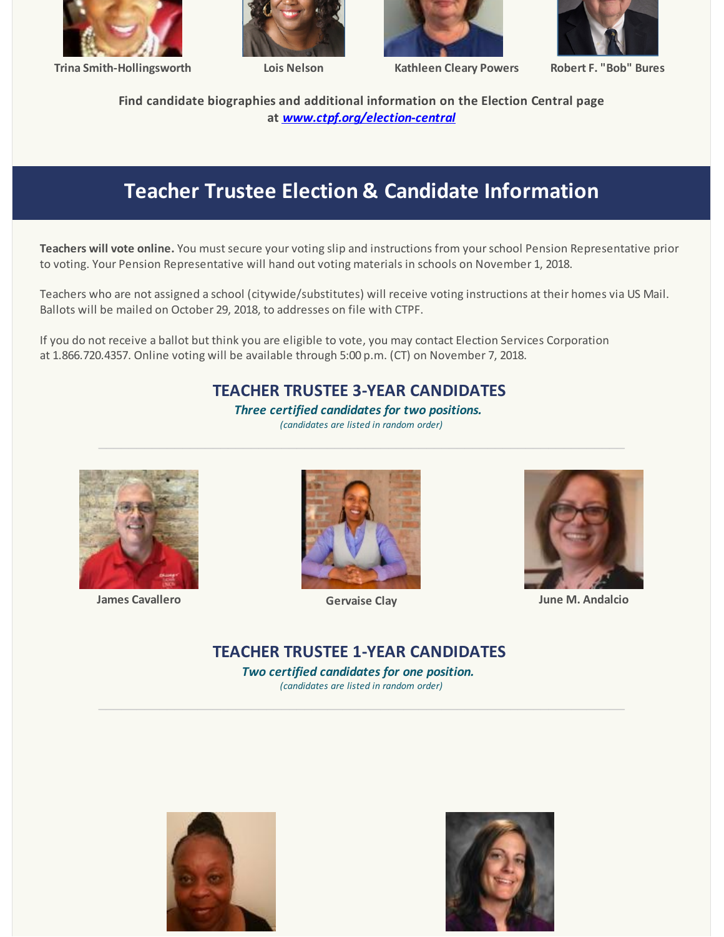

**Trina Smith-Hollingsworth Lois Nelson Kathleen Cleary Powers Robert F. "Bob" Bures**







**Find candidate biographies and additional information on the Election Central page at** *[www.ctpf.org/election-central](http://r20.rs6.net/tn.jsp?f=001AR8nXHezD-CA5PPZNGJqKNXfSb8Yzo1vuawz8woaviGINwzyegzFVtglZEJ3XrAHYK7BOto_1QT89MdKIUCqPNFfqPh8-TL-xa_bmE3F8LwAiYKaKtSaXKAcR2_V3PRknfSTxhMdZOv0VWGMtkRmiN2-jgnoRpKMTxbZ9Fo_9zvOZA3z3OxEmAbwYAXqy691&c=&ch=)*

# **Teacher Trustee Election & Candidate Information**

**Teachers will vote online.** You must secure your voting slip and instructions from yourschool Pension Representative prior to voting. Your Pension Representative will hand out voting materials in schools on November 1, 2018.

Teachers who are not assigned a school (citywide/substitutes) will receive voting instructions at their homes via US Mail. Ballots will be mailed on October 29, 2018, to addresses on file with CTPF.

If you do not receive a ballot but think you are eligible to vote, you may contact Election Services Corporation at 1.866.720.4357. Online voting will be available through 5:00 p.m. (CT) on November 7, 2018.

#### **TEACHER TRUSTEE 3-YEAR CANDIDATES**

*Three certified candidates for two positions. (candidates are listed in random order)*

 $\_$  , and the contribution of the contribution of the contribution of the contribution of  $\mathcal{L}_\mathcal{A}$ 



**James Cavallero Gervaise Clay June M. Andalcio**





### **TEACHER TRUSTEE 1-YEAR CANDIDATES**

*Two certified candidates for one position. (candidates are listed in random order)*

 $\_$  , and the set of the set of the set of the set of the set of the set of the set of the set of the set of the set of the set of the set of the set of the set of the set of the set of the set of the set of the set of th



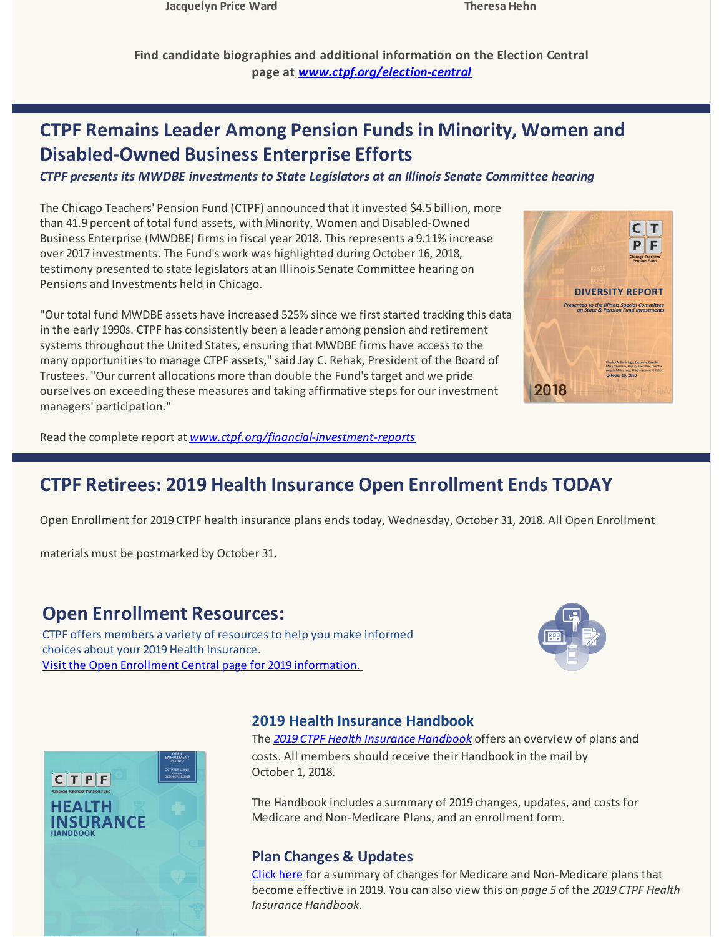**Jacquelyn Price Ward Theresa Hehn**

**Find candidate biographies and additional information on the Election Central page at** *[www.ctpf.org/election-central](http://r20.rs6.net/tn.jsp?f=001AR8nXHezD-CA5PPZNGJqKNXfSb8Yzo1vuawz8woaviGINwzyegzFVtglZEJ3XrAHYK7BOto_1QT89MdKIUCqPNFfqPh8-TL-xa_bmE3F8LwAiYKaKtSaXKAcR2_V3PRknfSTxhMdZOv0VWGMtkRmiN2-jgnoRpKMTxbZ9Fo_9zvOZA3z3OxEmAbwYAXqy691&c=&ch=)*

# **CTPF Remains Leader Among Pension Funds in Minority, Women and Disabled-Owned Business Enterprise Efforts**

*CTPF presents its MWDBE investments to State Legislators at an Illinois Senate Committee hearing*

The Chicago Teachers' Pension Fund (CTPF) announced that it invested \$4.5 billion, more than 41.9 percent of total fund assets, with Minority, Women and Disabled-Owned Business Enterprise (MWDBE) firms in fiscal year 2018. This represents a 9.11% increase over 2017 investments. The Fund's work was highlighted during October 16, 2018, testimony presented to state legislators at an Illinois Senate Committee hearing on Pensions and Investments held in Chicago.

"Our total fund MWDBE assets have increased 525% since we first started tracking this data in the early 1990s. CTPF has consistently been a leader among pension and retirement systems throughout the United States, ensuring that MWDBE firms have access to the many opportunities to manage CTPF assets," said Jay C. Rehak, President of the Board of Trustees. "Our current allocations more than double the Fund's target and we pride ourselves on exceeding these measures and taking affirmative steps for our investment managers' participation."



Read the complete report at *[www.ctpf.org/financial-investment-reports](http://r20.rs6.net/tn.jsp?f=001AR8nXHezD-CA5PPZNGJqKNXfSb8Yzo1vuawz8woaviGINwzyegzFVrxLjtROYihu24etdgBRnDp-6tmgEKppqt5R2QoDM-mzEK2i1sa9ONY8yFOvvGE_i_HpB_63PIQLbYF5xKGMG0DYGd2wr1ZZb3nGhEzVk-JfP_bHtw8d7WzAyWz4E7yi5TSbxyJ1oPyfwS1aktTCl-E=&c=&ch=)*

# **CTPF Retirees: 2019 Health Insurance Open Enrollment Ends TODAY**

Open Enrollment for 2019 CTPF health insurance plans ends today, Wednesday, October 31, 2018. All Open Enrollment

materials must be postmarked by October 31.

## **Open Enrollment Resources:**

CTPF offers members a variety of resources to help you make informed choices about your 2019 Health Insurance. Visit the Open Enrollment Central page for 2019 [information.](http://r20.rs6.net/tn.jsp?f=001AR8nXHezD-CA5PPZNGJqKNXfSb8Yzo1vuawz8woaviGINwzyegzFVrxLjtROYihuVA_nXWG8EhaJ8yDE6JPhVWmw4Pvs8m7S-EBvCoA04rL8e5efFAK_3piDyNqo7tTRsgpTOXLH6M0ALrt10XXSo4Wi5cCc8_YtEMsGAaId3IpL90eQCn0fBuxDTy5KyDAf&c=&ch=)





#### **2019 Health Insurance Handbook**

The *2019 CTPF Health Insurance [Handbook](http://r20.rs6.net/tn.jsp?f=001AR8nXHezD-CA5PPZNGJqKNXfSb8Yzo1vuawz8woaviGINwzyegzFVoIRWfWW2g-TcHnNrvU-gZSkMYqeTAsmQ1hlg602WIMmoQWlpuetol53d-LXtxXNrZZSasRTLYDZjpbI2qSKjWJei-kSSsVbpQVrlQqBdZOou6FoMHUBOxTkoLXNZICCnYfaQkAtT3Yw74RPZ9kZeNFhBF9daNdoPg==&c=&ch=)* offers an overview of plans and costs. All members should receive their Handbook in the mail by October 1, 2018.

The Handbook includes a summary of 2019 changes, updates, and costs for Medicare and Non-Medicare Plans, and an enrollment form.

#### **Plan Changes & Updates**

[Click](http://r20.rs6.net/tn.jsp?f=001AR8nXHezD-CA5PPZNGJqKNXfSb8Yzo1vuawz8woaviGINwzyegzFVup30uR_iIhH8h-uOWvbXtM75SRGD7iPXPXWKv4GJOj-r_kxAxXo1dpV4rEv8DJDKT3EiROuWqJul-a5ZkNAopq7xUNA0HVS_aetpVAMdLSfC7yAPnoPTmAYHVlIVqZGH3cjWrlNc8jozjokzYDBpar6HzDMcUa_bWRDJZHyz0pRoB0l7jqI1qPI9KiZakaVu7SzmmqH-tfC&c=&ch=) here for a summary of changes for Medicare and Non-Medicare plans that become effective in 2019. You can also view this on *page 5* of the *2019 CTPF Health Insurance Handbook*.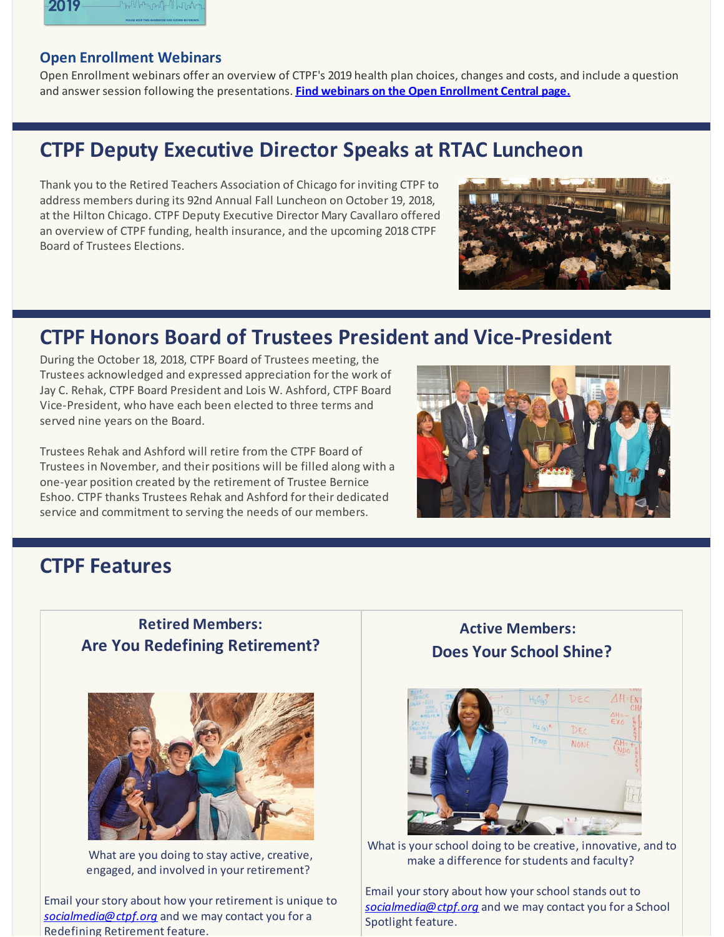

#### **Open Enrollment Webinars**

Open Enrollment webinars offer an overview of CTPF's 2019 health plan choices, changes and costs, and include a question and answersession following the presentations. **Find webinars on the Open [Enrollment](http://r20.rs6.net/tn.jsp?f=001AR8nXHezD-CA5PPZNGJqKNXfSb8Yzo1vuawz8woaviGINwzyegzFVtglZEJ3XrAHmO2D80CwY__WYKwfxeuCSWE5RNCG7LfvnnkLrjY2QyCrLhaIlHJaJX5xdbKNUw2AV3aLUfPz9KMegoItVECYs46WPuM4QUHDbTNS1K_IYzuCbPxsnCKDo73xJ1wdN7DrDZexpWa1F9W32jEB1AtE7Y9qMbKKc4EH&c=&ch=) Central page.**

# **CTPF Deputy Executive Director Speaks at RTAC Luncheon**

Thank you to the Retired Teachers Association of Chicago for inviting CTPF to address members during its 92nd Annual Fall Luncheon on October 19, 2018, at the Hilton Chicago. CTPF Deputy Executive Director Mary Cavallaro offered an overview of CTPF funding, health insurance, and the upcoming 2018 CTPF Board of Trustees Elections.



# **CTPF Honors Board of Trustees President and Vice-President**

During the October 18, 2018, CTPF Board of Trustees meeting, the Trustees acknowledged and expressed appreciation for the work of Jay C. Rehak, CTPF Board President and Lois W. Ashford, CTPF Board Vice-President, who have each been elected to three terms and served nine years on the Board.

Trustees Rehak and Ashford will retire from the CTPF Board of Trustees in November, and their positions will be filled along with a one-year position created by the retirement of Trustee Bernice Eshoo. CTPF thanks Trustees Rehak and Ashford for their dedicated service and commitment to serving the needs of our members.



# **CTPF Features**

## **Retired Members: Are You Redefining Retirement?**



What are you doing to stay active, creative, engaged, and involved in your retirement?

Email yourstory about how your retirement is unique to *[socialmedia@ctpf.org](mailto:socialmedia@ctpf.org)* and we may contact you for a Redefining Retirement feature.

## **Active Members: Does Your School Shine?**



What is your school doing to be creative, innovative, and to make a difference for students and faculty?

Email yourstory about how yourschool stands out to *[socialmedia@ctpf.org](mailto:socialmedia@ctpf.org)* and we may contact you for a School Spotlight feature.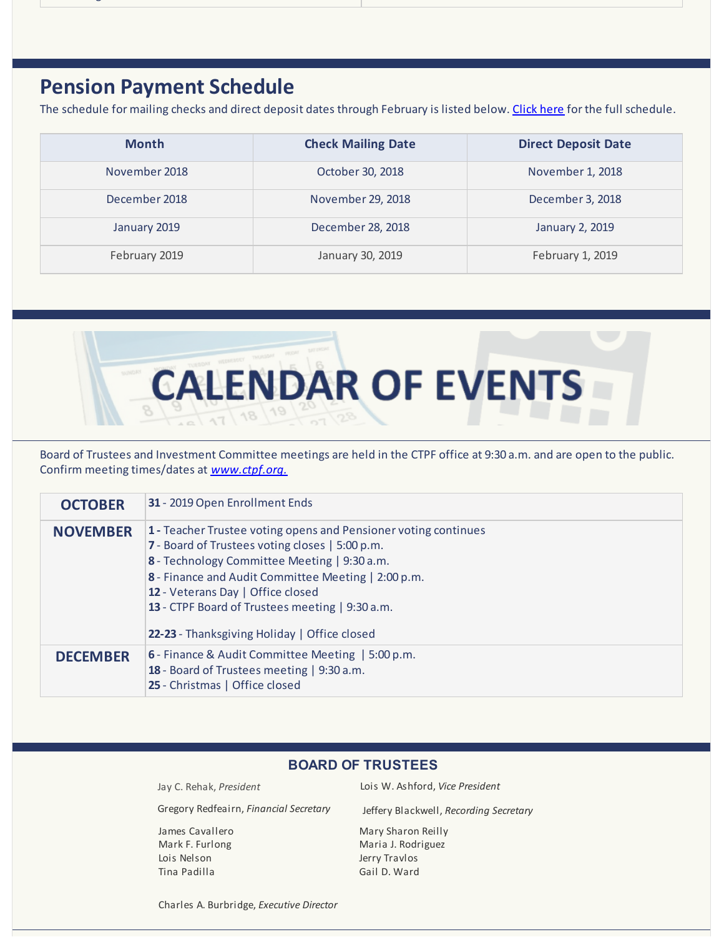## **Pension Payment Schedule**

The schedule for mailing checks and direct deposit dates through February is listed below. [Click](http://r20.rs6.net/tn.jsp?f=001AR8nXHezD-CA5PPZNGJqKNXfSb8Yzo1vuawz8woaviGINwzyegzFVhq1-ei19YfBxxhbP_7ohGwobjT7KbC_OHkHJlRp8GiyUvvUS5-mJFOzCV5178VAdz5rNiQPxYhze9tG9y_f0LjNoNwRkPs3E81gPeCEWgk7zr-K8UEmcloxKW3d1tPcMuMxsZrAHZMn&c=&ch=) here for the full schedule.

| <b>Month</b>  | <b>Check Mailing Date</b> | <b>Direct Deposit Date</b> |
|---------------|---------------------------|----------------------------|
| November 2018 | October 30, 2018          | November 1, 2018           |
| December 2018 | November 29, 2018         | December 3, 2018           |
| January 2019  | December 28, 2018         | January 2, 2019            |
| February 2019 | January 30, 2019          | February 1, 2019           |



Board of Trustees and Investment Committee meetings are held in the CTPF office at 9:30 a.m. and are open to the public. Confirm meeting times/dates at *[www.ctpf.org.](http://r20.rs6.net/tn.jsp?f=001AR8nXHezD-CA5PPZNGJqKNXfSb8Yzo1vuawz8woaviGINwzyegzFVhq1-ei19YfBLSo2hMeapi8DERegpsWoRk_OGPRY49GHG1xGUHR7DEyUoM5u7Q5L2KDvqNg51QflMaXOpdaYR8GO8YCbSA6HMDKjhzsRXfRzMMgTNY4OtIoJRBoHTHjF-BG6iCBxzwnxwZPLeb0an3Q=&c=&ch=)*

| <b>OCTOBER</b>  | 31 - 2019 Open Enrollment Ends                                                                                                                                                                                                                                                                                                                                    |
|-----------------|-------------------------------------------------------------------------------------------------------------------------------------------------------------------------------------------------------------------------------------------------------------------------------------------------------------------------------------------------------------------|
| <b>NOVEMBER</b> | 1 - Teacher Trustee voting opens and Pensioner voting continues<br>7 - Board of Trustees voting closes   5:00 p.m.<br>8 - Technology Committee Meeting   9:30 a.m.<br>8 - Finance and Audit Committee Meeting   2:00 p.m.<br>12 - Veterans Day   Office closed<br>13 - CTPF Board of Trustees meeting   9:30 a.m.<br>22-23 - Thanksgiving Holiday   Office closed |
| <b>DECEMBER</b> | 6 - Finance & Audit Committee Meeting   5:00 p.m.<br>18 - Board of Trustees meeting   9:30 a.m.<br>25 - Christmas   Office closed                                                                                                                                                                                                                                 |

#### **BOARD OF TRUSTEES**

| Jay C. Rehak, President                | Lois W. Ashford, Vice President        |
|----------------------------------------|----------------------------------------|
| Gregory Redfeairn, Financial Secretary | Jeffery Blackwell, Recording Secretary |
| James Cavallero                        | Mary Sharon Reilly                     |
| Mark F. Furlong                        | Maria J. Rodriguez                     |
| Lois Nelson                            | Jerry Travlos                          |
| Tina Padilla                           | Gail D. Ward                           |
|                                        |                                        |

Charles A. Burbridge, *Executive Director*